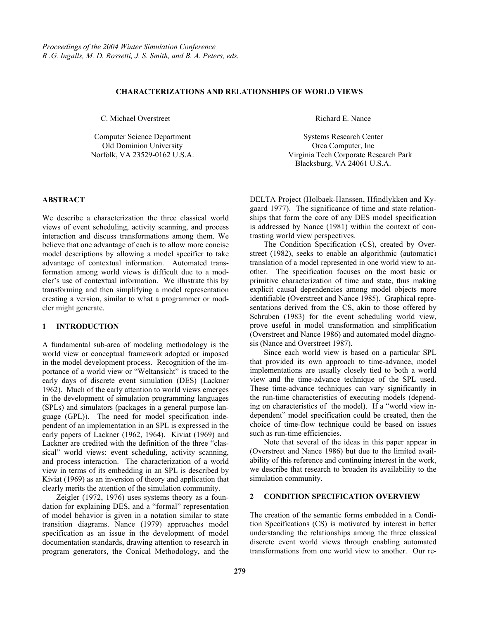### **CHARACTERIZATIONS AND RELATIONSHIPS OF WORLD VIEWS**

C. Michael Overstreet

Computer Science Department Old Dominion University Norfolk, VA 23529-0162 U.S.A.

### **ABSTRACT**

We describe a characterization the three classical world views of event scheduling, activity scanning, and process interaction and discuss transformations among them. We believe that one advantage of each is to allow more concise model descriptions by allowing a model specifier to take advantage of contextual information. Automated transformation among world views is difficult due to a modeler's use of contextual information. We illustrate this by transforming and then simplifying a model representation creating a version, similar to what a programmer or modeler might generate.

# **1 INTRODUCTION**

A fundamental sub-area of modeling methodology is the world view or conceptual framework adopted or imposed in the model development process. Recognition of the importance of a world view or "Weltansicht" is traced to the early days of discrete event simulation (DES) (Lackner 1962). Much of the early attention to world views emerges in the development of simulation programming languages (SPLs) and simulators (packages in a general purpose language (GPL)). The need for model specification independent of an implementation in an SPL is expressed in the early papers of Lackner (1962, 1964). Kiviat (1969) and Lackner are credited with the definition of the three "classical" world views: event scheduling, activity scanning, and process interaction. The characterization of a world view in terms of its embedding in an SPL is described by Kiviat (1969) as an inversion of theory and application that clearly merits the attention of the simulation community.

Zeigler (1972, 1976) uses systems theory as a foundation for explaining DES, and a "formal" representation of model behavior is given in a notation similar to state transition diagrams. Nance (1979) approaches model specification as an issue in the development of model documentation standards, drawing attention to research in program generators, the Conical Methodology, and the Richard E. Nance

Systems Research Center Orca Computer, Inc Virginia Tech Corporate Research Park Blacksburg, VA 24061 U.S.A.

DELTA Project (Holbaek-Hanssen, Hfindlykken and Kygaard 1977). The significance of time and state relationships that form the core of any DES model specification is addressed by Nance (1981) within the context of contrasting world view perspectives.

The Condition Specification (CS), created by Overstreet (1982), seeks to enable an algorithmic (automatic) translation of a model represented in one world view to another. The specification focuses on the most basic or primitive characterization of time and state, thus making explicit causal dependencies among model objects more identifiable (Overstreet and Nance 1985). Graphical representations derived from the CS, akin to those offered by Schruben (1983) for the event scheduling world view, prove useful in model transformation and simplification (Overstreet and Nance 1986) and automated model diagnosis (Nance and Overstreet 1987).

Since each world view is based on a particular SPL that provided its own approach to time-advance, model implementations are usually closely tied to both a world view and the time-advance technique of the SPL used. These time-advance techniques can vary significantly in the run-time characteristics of executing models (depending on characteristics of the model). If a "world view independent" model specification could be created, then the choice of time-flow technique could be based on issues such as run-time efficiencies.

Note that several of the ideas in this paper appear in (Overstreet and Nance 1986) but due to the limited availability of this reference and continuing interest in the work, we describe that research to broaden its availability to the simulation community.

# **2 CONDITION SPECIFICATION OVERVIEW**

The creation of the semantic forms embedded in a Condition Specifications (CS) is motivated by interest in better understanding the relationships among the three classical discrete event world views through enabling automated transformations from one world view to another. Our re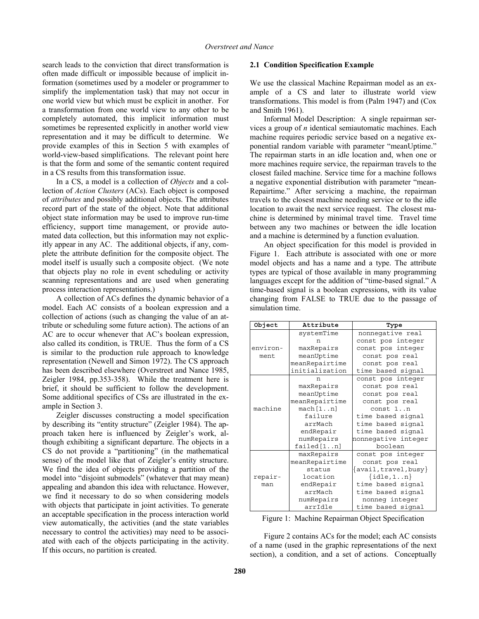search leads to the conviction that direct transformation is often made difficult or impossible because of implicit information (sometimes used by a modeler or programmer to simplify the implementation task) that may not occur in one world view but which must be explicit in another. For a transformation from one world view to any other to be completely automated, this implicit information must sometimes be represented explicitly in another world view representation and it may be difficult to determine. We provide examples of this in Section 5 with examples of world-view-based simplifications. The relevant point here is that the form and some of the semantic content required in a CS results from this transformation issue.

In a CS, a model is a collection of *Objects* and a collection of *Action Clusters* (ACs). Each object is composed of *attributes* and possibly additional objects. The attributes record part of the state of the object. Note that additional object state information may be used to improve run-time efficiency, support time management, or provide automated data collection, but this information may not explicitly appear in any AC. The additional objects, if any, complete the attribute definition for the composite object. The model itself is usually such a composite object. (We note that objects play no role in event scheduling or activity scanning representations and are used when generating process interaction representations.)

A collection of ACs defines the dynamic behavior of a model. Each AC consists of a boolean expression and a collection of actions (such as changing the value of an attribute or scheduling some future action). The actions of an AC are to occur whenever that AC's boolean expression, also called its condition, is TRUE. Thus the form of a CS is similar to the production rule approach to knowledge representation (Newell and Simon 1972). The CS approach has been described elsewhere (Overstreet and Nance 1985, Zeigler 1984, pp.353-358). While the treatment here is brief, it should be sufficient to follow the development. Some additional specifics of CSs are illustrated in the example in Section 3.

Zeigler discusses constructing a model specification by describing its "entity structure" (Zeigler 1984). The approach taken here is influenced by Zeigler's work, although exhibiting a significant departure. The objects in a CS do not provide a "partitioning" (in the mathematical sense) of the model like that of Zeigler's entity structure. We find the idea of objects providing a partition of the model into "disjoint submodels" (whatever that may mean) appealing and abandon this idea with reluctance. However, we find it necessary to do so when considering models with objects that participate in joint activities. To generate an acceptable specification in the process interaction world view automatically, the activities (and the state variables necessary to control the activities) may need to be associated with each of the objects participating in the activity. If this occurs, no partition is created.

### **2.1 Condition Specification Example**

We use the classical Machine Repairman model as an example of a CS and later to illustrate world view transformations. This model is from (Palm 1947) and (Cox and Smith 1961).

Informal Model Description: A single repairman services a group of *n* identical semiautomatic machines. Each machine requires periodic service based on a negative exponential random variable with parameter "meanUptime." The repairman starts in an idle location and, when one or more machines require service, the repairman travels to the closest failed machine. Service time for a machine follows a negative exponential distribution with parameter "mean-Repairtime." After servicing a machine, the repairman travels to the closest machine needing service or to the idle location to await the next service request. The closest machine is determined by minimal travel time. Travel time between any two machines or between the idle location and a machine is determined by a function evaluation.

An object specification for this model is provided in Figure 1. Each attribute is associated with one or more model objects and has a name and a type. The attribute types are typical of those available in many programming languages except for the addition of "time-based signal." A time-based signal is a boolean expressions, with its value changing from FALSE to TRUE due to the passage of simulation time.

| Object   | Attribute      | Type                          |
|----------|----------------|-------------------------------|
|          | systemTime     | nonnegative real              |
|          | n              | const pos integer             |
| environ- | maxRepairs     | const pos integer             |
| ment     | meanUptime     | const pos real                |
|          | meanRepairtime | const pos real                |
|          | initialization | time based signal             |
|          | n              | const pos integer             |
|          | maxRepairs     | const pos real                |
|          | meanUptime     | const pos real                |
|          | meanRepairtime | const pos real                |
| machine  | mach[1n]       | const 1n                      |
|          | failure        | time based signal             |
|          | arrMach        | time based signal             |
|          | endRepair      | time based signal             |
|          | numRepairs     | nonnegative integer           |
|          | failed[1n]     | boolean                       |
|          | maxRepairs     | const pos integer             |
|          | meanRepairtime | const pos real                |
|          | status         | $\{$ avail, travel, busy $\}$ |
| repair-  | location       | $\{idle, 1n\}$                |
| man      | endRepair      | time based signal             |
|          | arrMach        | time based signal             |
|          | numRepairs     | nonneg integer                |
|          | arrIdle        | time based signal             |

Figure 1: Machine Repairman Object Specification

Figure 2 contains ACs for the model; each AC consists of a name (used in the graphic representations of the next section), a condition, and a set of actions. Conceptually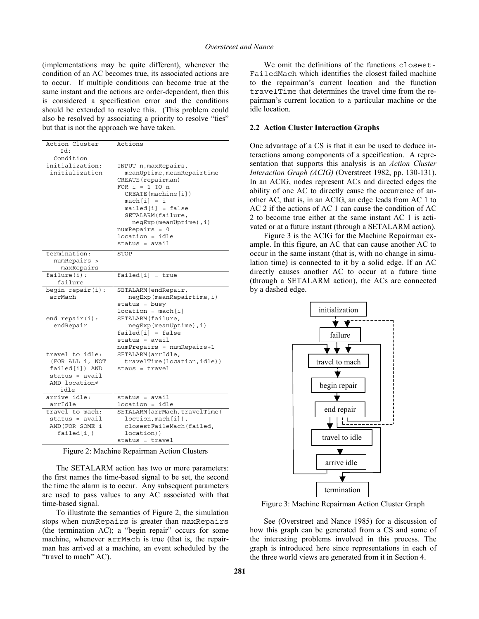(implementations may be quite different), whenever the condition of an AC becomes true, its associated actions are to occur. If multiple conditions can become true at the same instant and the actions are order-dependent, then this is considered a specification error and the conditions should be extended to resolve this. (This problem could also be resolved by associating a priority to resolve "ties" but that is not the approach we have taken.

| Action Cluster                                                                                    | Actions                                                                                                                                                                                                                                               |
|---------------------------------------------------------------------------------------------------|-------------------------------------------------------------------------------------------------------------------------------------------------------------------------------------------------------------------------------------------------------|
| Id:                                                                                               |                                                                                                                                                                                                                                                       |
| Condition                                                                                         |                                                                                                                                                                                                                                                       |
| initialization:<br>initialization                                                                 | INPUT n, maxRepairs,<br>meanUptime, meanRepairtime<br>CREATE (repairman)<br>FOR $i = 1$ TO n<br>CREATE (machine [i])<br>$mach[i] = i$<br>$mailed[i] = false$<br>SETALARM (failure,<br>negExp(meanUptime), i)<br>$numRepairs = 0$<br>$location = idle$ |
|                                                                                                   | $status = avail$                                                                                                                                                                                                                                      |
| termination:<br>numRepairs ><br>maxRepairs                                                        | STOP                                                                                                                                                                                                                                                  |
| failure(i):                                                                                       | $\overline{\text{fail}}$ ed[i] = true                                                                                                                                                                                                                 |
| failure                                                                                           |                                                                                                                                                                                                                                                       |
| begin repair(i):<br>arrMach                                                                       | SETALARM (endRepair,<br>negExp(meanRepairtime, i)<br>$status = busy$<br>$location = mach[i]$                                                                                                                                                          |
| end $repair(i)$ :                                                                                 | SETALARM (failure,                                                                                                                                                                                                                                    |
| endRepair                                                                                         | negExp(meanUptime), i)<br>$failed[i] = false$<br>$status = avail$                                                                                                                                                                                     |
|                                                                                                   | numPrepairs = numRepairs+1                                                                                                                                                                                                                            |
| travel to idle:<br>(FOR ALL i, NOT<br>failed[i]) AND<br>$status = avail$<br>AND location≠<br>idle | SETALARM (arrIdle,<br>travelTime(location, idle))<br>staus = travel                                                                                                                                                                                   |
| arrive idle:<br>arrIdle                                                                           | $status = avail$<br>location = idle                                                                                                                                                                                                                   |
| travel to mach:<br>$status = avail$<br>AND (FOR SOME i<br>failed[i])                              | SETALARM (arrMach, travelTime (<br>loction, mach[i]),<br>closestFaileMach(failed,<br>location))<br>status = travel                                                                                                                                    |

Figure 2: Machine Repairman Action Clusters

The SETALARM action has two or more parameters: the first names the time-based signal to be set, the second the time the alarm is to occur. Any subsequent parameters are used to pass values to any AC associated with that time-based signal.

To illustrate the semantics of Figure 2, the simulation stops when numRepairs is greater than maxRepairs (the termination AC); a "begin repair" occurs for some machine, whenever arrMach is true (that is, the repairman has arrived at a machine, an event scheduled by the "travel to mach" AC).

We omit the definitions of the functions closest-FailedMach which identifies the closest failed machine to the repairman's current location and the function travelTime that determines the travel time from the repairman's current location to a particular machine or the idle location.

#### **2.2 Action Cluster Interaction Graphs**

One advantage of a CS is that it can be used to deduce interactions among components of a specification. A representation that supports this analysis is an *Action Cluster Interaction Graph (ACIG)* (Overstreet 1982, pp. 130-131). In an ACIG, nodes represent ACs and directed edges the ability of one AC to directly cause the occurrence of another AC, that is, in an ACIG, an edge leads from AC 1 to AC 2 if the actions of AC 1 can cause the condition of AC 2 to become true either at the same instant AC 1 is activated or at a future instant (through a SETALARM action).

Figure 3 is the ACIG for the Machine Repairman example. In this figure, an AC that can cause another AC to occur in the same instant (that is, with no change in simulation time) is connected to it by a solid edge. If an AC directly causes another AC to occur at a future time (through a SETALARM action), the ACs are connected by a dashed edge.



Figure 3: Machine Repairman Action Cluster Graph

See (Overstreet and Nance 1985) for a discussion of how this graph can be generated from a CS and some of the interesting problems involved in this process. The graph is introduced here since representations in each of the three world views are generated from it in Section 4.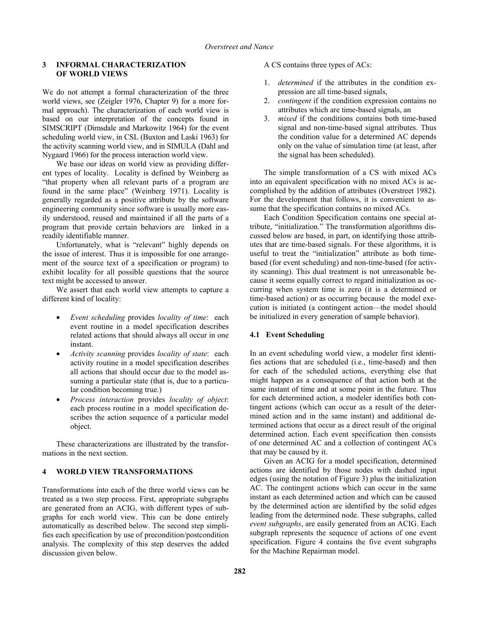### **3 INFORMAL CHARACTERIZATION OF WORLD VIEWS**

We do not attempt a formal characterization of the three world views, see (Zeigler 1976, Chapter 9) for a more formal approach). The characterization of each world view is based on our interpretation of the concepts found in SIMSCRIPT (Dimsdale and Markowitz 1964) for the event scheduling world view, in CSL (Buxton and Laski 1963) for the activity scanning world view, and in SIMULA (Dahl and Nygaard 1966) for the process interaction world view.

We base our ideas on world view as providing different types of locality. Locality is defined by Weinberg as "that property when all relevant parts of a program are found in the same place" (Weinberg 1971). Locality is generally regarded as a positive attribute by the software engineering community since software is usually more easily understood, reused and maintained if all the parts of a program that provide certain behaviors are linked in a readily identifiable manner.

Unfortunately, what is "relevant" highly depends on the issue of interest. Thus it is impossible for one arrangement of the source text of a specification or program) to exhibit locality for all possible questions that the source text might be accessed to answer.

We assert that each world view attempts to capture a different kind of locality:

- *Event scheduling* provides *locality of time*: each event routine in a model specification describes related actions that should always all occur in one instant.
- *Activity scanning* provides *locality of state*: each activity routine in a model specification describes all actions that should occur due to the model assuming a particular state (that is, due to a particular condition becoming true.)
- *Process interaction* provides *locality of object*: each process routine in a model specification describes the action sequence of a particular model object.

These characterizations are illustrated by the transformations in the next section.

# **4 WORLD VIEW TRANSFORMATIONS**

Transformations into each of the three world views can be treated as a two step process. First, appropriate subgraphs are generated from an ACIG, with different types of subgraphs for each world view. This can be done entirely automatically as described below. The second step simplifies each specification by use of precondition/postcondition analysis. The complexity of this step deserves the added discussion given below.

A CS contains three types of ACs:

- 1. *determined* if the attributes in the condition expression are all time-based signals,
- 2. *contingent* if the condition expression contains no attributes which are time-based signals, an
- 3. *mixed* if the conditions contains both time-based signal and non-time-based signal attributes. Thus the condition value for a determined AC depends only on the value of simulation time (at least, after the signal has been scheduled).

The simple transformation of a CS with mixed ACs into an equivalent specification with no mixed ACs is accomplished by the addition of attributes (Overstreet 1982). For the development that follows, it is convenient to assume that the specification contains no mixed ACs.

Each Condition Specification contains one special attribute, "initialization." The transformation algorithms discussed below are based, in part, on identifying those attributes that are time-based signals. For these algorithms, it is useful to treat the "initialization" attribute as both timebased (for event scheduling) and non-time-based (for activity scanning). This dual treatment is not unreasonable because it seems equally correct to regard initialization as occurring when system time is zero (it is a determined or time-based action) or as occurring because the model execution is initiated (a contingent action—the model should be initialized in every generation of sample behavior).

# **4.1 Event Scheduling**

In an event scheduling world view, a modeler first identifies actions that are scheduled (i.e., time-based) and then for each of the scheduled actions, everything else that might happen as a consequence of that action both at the same instant of time and at some point in the future. Thus for each determined action, a modeler identifies both contingent actions (which can occur as a result of the determined action and in the same instant) and additional determined actions that occur as a direct result of the original determined action. Each event specification then consists of one determined AC and a collection of contingent ACs that may be caused by it.

Given an ACIG for a model specification, determined actions are identified by those nodes with dashed input edges (using the notation of Figure 3) plus the initialization AC. The contingent actions which can occur in the same instant as each determined action and which can be caused by the determined action are identified by the solid edges leading from the determined node. These subgraphs, called *event subgraphs*, are easily generated from an ACIG. Each subgraph represents the sequence of actions of one event specification. Figure 4 contains the five event subgraphs for the Machine Repairman model.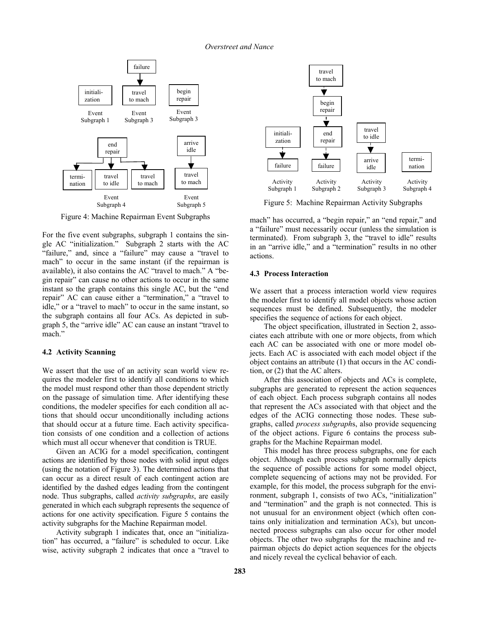### *Overstreet and Nance*



Figure 4: Machine Repairman Event Subgraphs

For the five event subgraphs, subgraph 1 contains the single AC "initialization." Subgraph 2 starts with the AC "failure," and, since a "failure" may cause a "travel to mach" to occur in the same instant (if the repairman is available), it also contains the AC "travel to mach." A "begin repair" can cause no other actions to occur in the same instant so the graph contains this single AC, but the "end repair" AC can cause either a "termination," a "travel to idle," or a "travel to mach" to occur in the same instant, so the subgraph contains all four ACs. As depicted in subgraph 5, the "arrive idle" AC can cause an instant "travel to mach."

# **4.2 Activity Scanning**

We assert that the use of an activity scan world view requires the modeler first to identify all conditions to which the model must respond other than those dependent strictly on the passage of simulation time. After identifying these conditions, the modeler specifies for each condition all actions that should occur unconditionally including actions that should occur at a future time. Each activity specification consists of one condition and a collection of actions which must all occur whenever that condition is TRUE.

Given an ACIG for a model specification, contingent actions are identified by those nodes with solid input edges (using the notation of Figure 3). The determined actions that can occur as a direct result of each contingent action are identified by the dashed edges leading from the contingent node. Thus subgraphs, called *activity subgraphs*, are easily generated in which each subgraph represents the sequence of actions for one activity specification. Figure 5 contains the activity subgraphs for the Machine Repairman model.

Activity subgraph 1 indicates that, once an "initialization" has occurred, a "failure" is scheduled to occur. Like wise, activity subgraph 2 indicates that once a "travel to



Figure 5: Machine Repairman Activity Subgraphs

mach" has occurred, a "begin repair," an "end repair," and a "failure" must necessarily occur (unless the simulation is terminated). From subgraph 3, the "travel to idle" results in an "arrive idle," and a "termination" results in no other actions.

# **4.3 Process Interaction**

We assert that a process interaction world view requires the modeler first to identify all model objects whose action sequences must be defined. Subsequently, the modeler specifies the sequence of actions for each object.

The object specification, illustrated in Section 2, associates each attribute with one or more objects, from which each AC can be associated with one or more model objects. Each AC is associated with each model object if the object contains an attribute (1) that occurs in the AC condition, or (2) that the AC alters.

After this association of objects and ACs is complete, subgraphs are generated to represent the action sequences of each object. Each process subgraph contains all nodes that represent the ACs associated with that object and the edges of the ACIG connecting those nodes. These subgraphs, called *process subgraph*s, also provide sequencing of the object actions. Figure 6 contains the process subgraphs for the Machine Repairman model.

This model has three process subgraphs, one for each object. Although each process subgraph normally depicts the sequence of possible actions for some model object, complete sequencing of actions may not be provided. For example, for this model, the process subgraph for the environment, subgraph 1, consists of two ACs, "initialization" and "termination" and the graph is not connected. This is not unusual for an environment object (which often contains only initialization and termination ACs), but unconnected process subgraphs can also occur for other model objects. The other two subgraphs for the machine and repairman objects do depict action sequences for the objects and nicely reveal the cyclical behavior of each.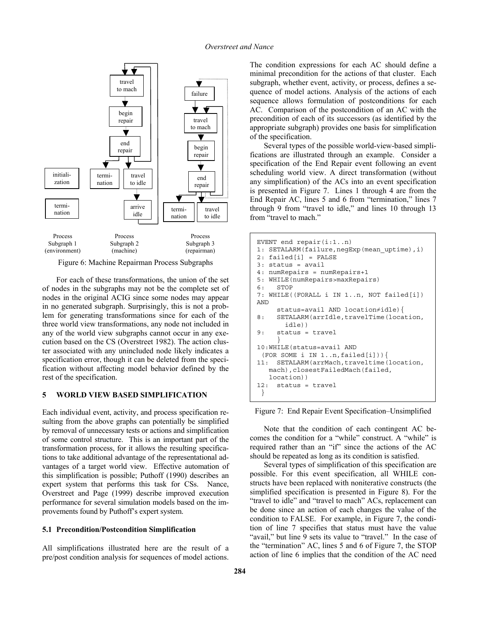

Figure 6: Machine Repairman Process Subgraphs

For each of these transformations, the union of the set of nodes in the subgraphs may not be the complete set of nodes in the original ACIG since some nodes may appear in no generated subgraph. Surprisingly, this is not a problem for generating transformations since for each of the three world view transformations, any node not included in any of the world view subgraphs cannot occur in any execution based on the CS (Overstreet 1982). The action cluster associated with any unincluded node likely indicates a specification error, though it can be deleted from the specification without affecting model behavior defined by the rest of the specification.

### **5 WORLD VIEW BASED SIMPLIFICATION**

Each individual event, activity, and process specification resulting from the above graphs can potentially be simplified by removal of unnecessary tests or actions and simplification of some control structure. This is an important part of the transformation process, for it allows the resulting specifications to take additional advantage of the representational advantages of a target world view. Effective automation of this simplification is possible; Puthoff (1990) describes an expert system that performs this task for CSs. Nance, Overstreet and Page (1999) describe improved execution performance for several simulation models based on the improvements found by Puthoff's expert system.

### **5.1 Precondition/Postcondition Simplification**

All simplifications illustrated here are the result of a pre/post condition analysis for sequences of model actions. The condition expressions for each AC should define a minimal precondition for the actions of that cluster. Each subgraph, whether event, activity, or process, defines a sequence of model actions. Analysis of the actions of each sequence allows formulation of postconditions for each AC. Comparison of the postcondition of an AC with the precondition of each of its successors (as identified by the appropriate subgraph) provides one basis for simplification of the specification.

Several types of the possible world-view-based simplifications are illustrated through an example. Consider a specification of the End Repair event following an event scheduling world view. A direct transformation (without any simplification) of the ACs into an event specification is presented in Figure 7. Lines 1 through 4 are from the End Repair AC, lines 5 and 6 from "termination," lines 7 through 9 from "travel to idle," and lines 10 through 13 from "travel to mach."

```
EVENT end repair(i:1..n) 
1: SETALARM(failure,negExp(mean_uptime),i) 
2: failed[i] = FALSE 
3: status = avail 
4: numRepairs = numRepairs+1 
5: WHILE(numRepairs>maxRepairs) 
6: STOP 
7: WHILE((FORALL i IN 1..n, NOT failed[i]) 
AND 
      status=avail AND location≠idle){ 
8: SETALARM(arrIdle, travelTime(location,
        idle)) 
9: status = travel 
 } 
10:WHILE(status=avail AND 
 (FOR SOME i IN 1..n, failed[i]))11: SETALARM(arrMach,traveltime(location, 
    mach),closestFailedMach(failed, 
    location)) 
12: status = travel 
  }
```
Figure 7: End Repair Event Specification–Unsimplified

Note that the condition of each contingent AC becomes the condition for a "while" construct. A "while" is required rather than an "if" since the actions of the AC should be repeated as long as its condition is satisfied.

Several types of simplification of this specification are possible. For this event specification, all WHILE constructs have been replaced with noniterative constructs (the simplified specification is presented in Figure 8). For the "travel to idle" and "travel to mach" ACs, replacement can be done since an action of each changes the value of the condition to FALSE. For example, in Figure 7, the condition of line 7 specifies that status must have the value "avail," but line 9 sets its value to "travel." In the case of the "termination" AC, lines 5 and 6 of Figure 7, the STOP action of line 6 implies that the condition of the AC need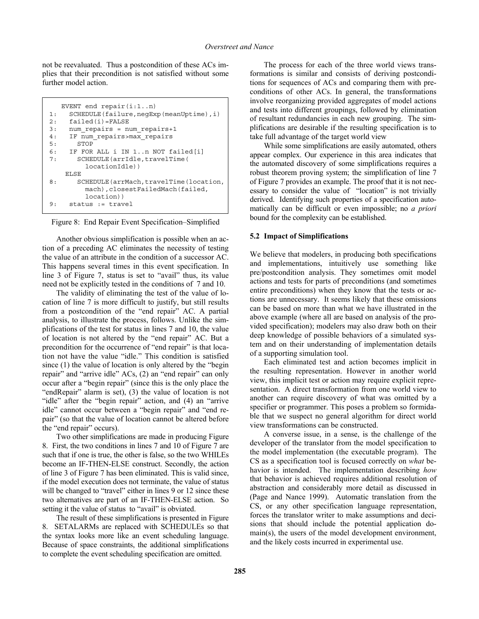not be reevaluated. Thus a postcondition of these ACs implies that their precondition is not satisfied without some further model action.

```
 EVENT end repair(i:1..n) 
1: SCHEDULE(failure,negExp(meanUptime),i) 
2: failed(i)=FALSE 
3: num_repairs = num_repairs+1 
4: IF num_repairs>max_repairs 
5: STOP 
6: IF FOR ALL i IN 1..n NOT failed[i] 
7: SCHEDULE(arrIdle,travelTime( 
          locationIdle)) 
     ELSE 
8: SCHEDULE(arrMach,travelTime(location,
          mach),closestFailedMach(failed, 
          location)) 
9: status := travel
```
Figure 8: End Repair Event Specification–Simplified

Another obvious simplification is possible when an action of a preceding AC eliminates the necessity of testing the value of an attribute in the condition of a successor AC. This happens several times in this event specification. In line 3 of Figure 7, status is set to "avail" thus, its value need not be explicitly tested in the conditions of 7 and 10.

The validity of eliminating the test of the value of location of line 7 is more difficult to justify, but still results from a postcondition of the "end repair" AC. A partial analysis, to illustrate the process, follows. Unlike the simplifications of the test for status in lines 7 and 10, the value of location is not altered by the "end repair" AC. But a precondition for the occurrence of "end repair" is that location not have the value "idle." This condition is satisfied since (1) the value of location is only altered by the "begin repair" and "arrive idle" ACs, (2) an "end repair" can only occur after a "begin repair" (since this is the only place the "endRepair" alarm is set), (3) the value of location is not "idle" after the "begin repair" action, and (4) an "arrive idle" cannot occur between a "begin repair" and "end repair" (so that the value of location cannot be altered before the "end repair" occurs).

Two other simplifications are made in producing Figure 8. First, the two conditions in lines 7 and 10 of Figure 7 are such that if one is true, the other is false, so the two WHILEs become an IF-THEN-ELSE construct. Secondly, the action of line 3 of Figure 7 has been eliminated. This is valid since, if the model execution does not terminate, the value of status will be changed to "travel" either in lines 9 or 12 since these two alternatives are part of an IF-THEN-ELSE action. So setting it the value of status to "avail" is obviated.

The result of these simplifications is presented in Figure 8. SETALARMs are replaced with SCHEDULEs so that the syntax looks more like an event scheduling language. Because of space constraints, the additional simplifications to complete the event scheduling specification are omitted.

The process for each of the three world views transformations is similar and consists of deriving postconditions for sequences of ACs and comparing them with preconditions of other ACs. In general, the transformations involve reorganizing provided aggregates of model actions and tests into different groupings, followed by elimination of resultant redundancies in each new grouping. The simplifications are desirable if the resulting specification is to take full advantage of the target world view

While some simplifications are easily automated, others appear complex. Our experience in this area indicates that the automated discovery of some simplifications requires a robust theorem proving system; the simplification of line 7 of Figure 7 provides an example. The proof that it is not necessary to consider the value of "location" is not trivially derived. Identifying such properties of a specification automatically can be difficult or even impossible; no *a priori* bound for the complexity can be established.

# **5.2 Impact of Simplifications**

We believe that modelers, in producing both specifications and implementations, intuitively use something like pre/postcondition analysis. They sometimes omit model actions and tests for parts of preconditions (and sometimes entire preconditions) when they know that the tests or actions are unnecessary. It seems likely that these omissions can be based on more than what we have illustrated in the above example (where all are based on analysis of the provided specification); modelers may also draw both on their deep knowledge of possible behaviors of a simulated system and on their understanding of implementation details of a supporting simulation tool.

Each eliminated test and action becomes implicit in the resulting representation. However in another world view, this implicit test or action may require explicit representation. A direct transformation from one world view to another can require discovery of what was omitted by a specifier or programmer. This poses a problem so formidable that we suspect no general algorithm for direct world view transformations can be constructed.

A converse issue, in a sense, is the challenge of the developer of the translator from the model specification to the model implementation (the executable program). The CS as a specification tool is focused correctly on *what* behavior is intended. The implementation describing *how* that behavior is achieved requires additional resolution of abstraction and considerably more detail as discussed in (Page and Nance 1999). Automatic translation from the CS, or any other specification language representation, forces the translator writer to make assumptions and decisions that should include the potential application domain(s), the users of the model development environment, and the likely costs incurred in experimental use.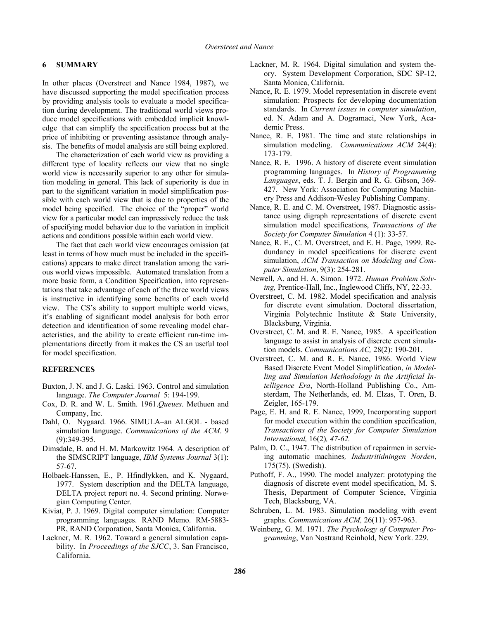### **6 SUMMARY**

In other places (Overstreet and Nance 1984, 1987), we have discussed supporting the model specification process by providing analysis tools to evaluate a model specification during development. The traditional world views produce model specifications with embedded implicit knowledge that can simplify the specification process but at the price of inhibiting or preventing assistance through analysis. The benefits of model analysis are still being explored.

The characterization of each world view as providing a different type of locality reflects our view that no single world view is necessarily superior to any other for simulation modeling in general. This lack of superiority is due in part to the significant variation in model simplification possible with each world view that is due to properties of the model being specified. The choice of the "proper" world view for a particular model can impressively reduce the task of specifying model behavior due to the variation in implicit actions and conditions possible within each world view.

The fact that each world view encourages omission (at least in terms of how much must be included in the specifications) appears to make direct translation among the various world views impossible. Automated translation from a more basic form, a Condition Specification, into representations that take advantage of each of the three world views is instructive in identifying some benefits of each world view. The CS's ability to support multiple world views, it's enabling of significant model analysis for both error detection and identification of some revealing model characteristics, and the ability to create efficient run-time implementations directly from it makes the CS an useful tool for model specification.

### **REFERENCES**

- Buxton, J. N. and J. G. Laski. 1963. Control and simulation language. *The Computer Journal* 5: 194-199.
- Cox, D. R. and W. L. Smith. 1961.*Queues*. Methuen and Company, Inc.
- Dahl, O. Nygaard. 1966. SIMULA–an ALGOL based simulation language. *Communications of the ACM*. 9 (9):349-395.
- Dimsdale, B. and H. M. Markowitz 1964. A description of the SIMSCRIPT language, *IBM Systems Journal* 3(1): 57-67.
- Holbaek-Hanssen, E., P. Hfindlykken, and K. Nygaard, 1977. System description and the DELTA language, DELTA project report no. 4. Second printing. Norwegian Computing Center.
- Kiviat, P. J. 1969. Digital computer simulation: Computer programming languages. RAND Memo. RM-5883- PR, RAND Corporation, Santa Monica, California.
- Lackner, M. R. 1962. Toward a general simulation capability. In *Proceedings of the SJCC*, 3. San Francisco, California.
- Lackner, M. R. 1964. Digital simulation and system theory. System Development Corporation, SDC SP-12, Santa Monica, California.
- Nance, R. E. 1979. Model representation in discrete event simulation: Prospects for developing documentation standards. In *Current issues in computer simulation*, ed. N. Adam and A. Dogramaci, New York, Academic Press.
- Nance, R. E. 1981. The time and state relationships in simulation modeling. *Communications ACM* 24(4): 173-179.
- Nance, R. E. 1996. A history of discrete event simulation programming languages. In *History of Programming Languages*, eds. T. J. Bergin and R. G. Gibson, 369- 427. New York: Association for Computing Machinery Press and Addison-Wesley Publishing Company.
- Nance, R. E. and C. M. Overstreet, 1987. Diagnostic assistance using digraph representations of discrete event simulation model specifications, *Transactions of the Society for Computer Simulation* 4 (1): 33-57.
- Nance, R. E., C. M. Overstreet, and E. H. Page, 1999. Redundancy in model specifications for discrete event simulation, *ACM Transaction on Modeling and Computer Simulation*, 9(3): 254-281.
- Newell, A. and H. A. Simon. 1972. *Human Problem Solving,* Prentice-Hall, Inc., Inglewood Cliffs, NY, 22-33.
- Overstreet, C. M. 1982. Model specification and analysis for discrete event simulation. Doctoral dissertation, Virginia Polytechnic Institute & State University, Blacksburg, Virginia.
- Overstreet, C. M. and R. E. Nance, 1985. A specification language to assist in analysis of discrete event simulation models. *Communications AC,* 28(2): 190-201.
- Overstreet, C. M. and R. E. Nance, 1986. World View Based Discrete Event Model Simplification, *in Modelling and Simulation Methodology in the Artificial Intelligence Era*, North-Holland Publishing Co., Amsterdam, The Netherlands, ed. M. Elzas, T. Oren, B. Zeigler, 165-179.
- Page, E. H. and R. E. Nance, 1999, Incorporating support for model execution within the condition specification, *Transactions of the Society for Computer Simulation International,* 16(2)*, 47-62.*
- Palm, D. C., 1947. The distribution of repairmen in servicing automatic machines*, Industritidningen Norden*, 175(75). (Swedish).
- Puthoff, F. A., 1990. The model analyzer: prototyping the diagnosis of discrete event model specification, M. S. Thesis, Department of Computer Science, Virginia Tech, Blacksburg, VA.
- Schruben, L. M. 1983. Simulation modeling with event graphs. *Communications ACM,* 26(11): 957-963.
- Weinberg, G. M. 1971. *The Psychology of Computer Programming*, Van Nostrand Reinhold, New York. 229.